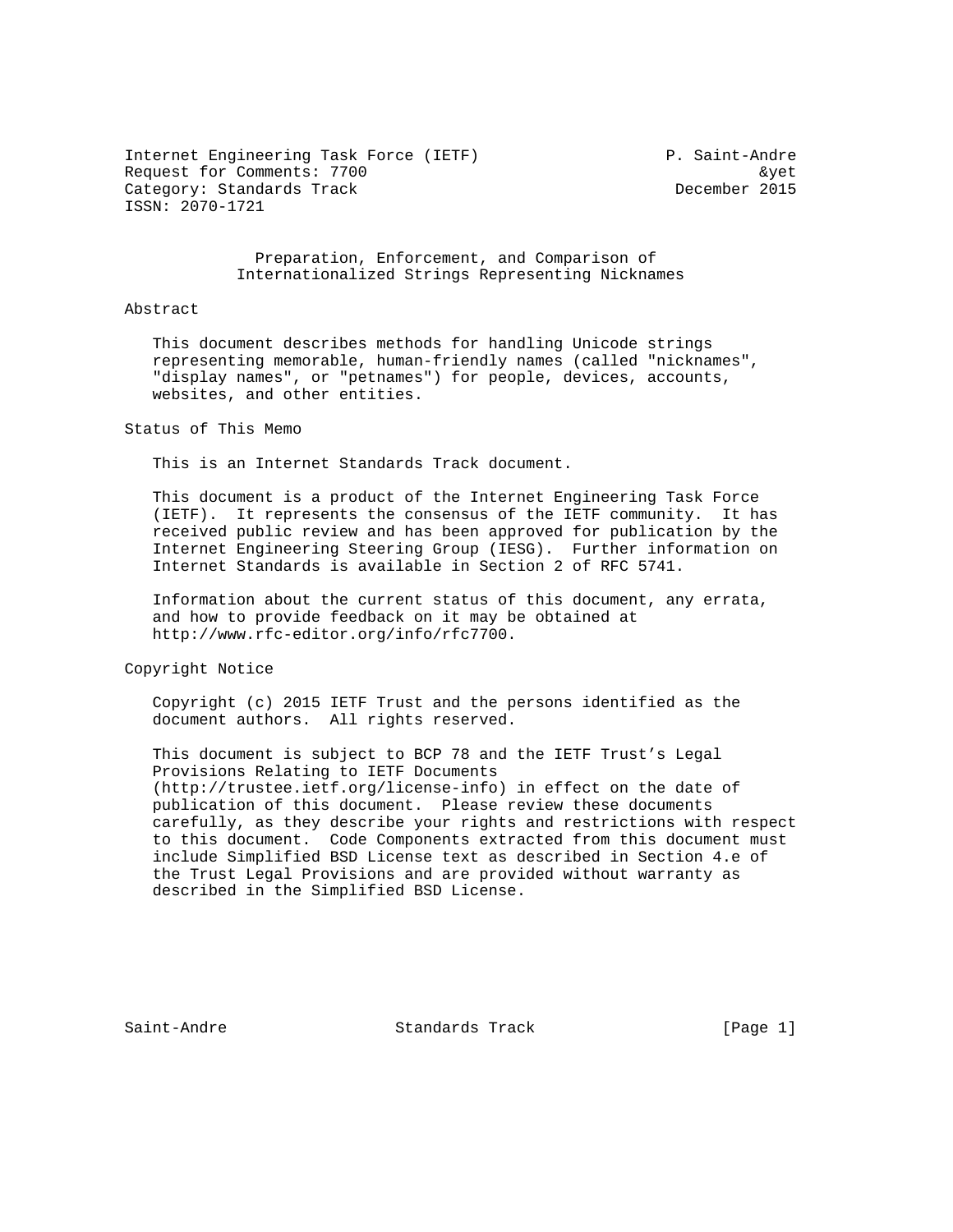Internet Engineering Task Force (IETF) P. Saint-Andre Request for Comments: 7700 **and the Comments**:  $\frac{1}{2}$  and  $\frac{1}{2}$  and  $\frac{1}{2}$  and  $\frac{1}{2}$  and  $\frac{1}{2}$  and  $\frac{1}{2}$  and  $\frac{1}{2}$  and  $\frac{1}{2}$  and  $\frac{1}{2}$  and  $\frac{1}{2}$  and  $\frac{1}{2}$  and  $\frac{1}{2}$  and  $\frac{1}{2$ Category: Standards Track december 2015 ISSN: 2070-1721

## Preparation, Enforcement, and Comparison of Internationalized Strings Representing Nicknames

## Abstract

 This document describes methods for handling Unicode strings representing memorable, human-friendly names (called "nicknames", "display names", or "petnames") for people, devices, accounts, websites, and other entities.

Status of This Memo

This is an Internet Standards Track document.

 This document is a product of the Internet Engineering Task Force (IETF). It represents the consensus of the IETF community. It has received public review and has been approved for publication by the Internet Engineering Steering Group (IESG). Further information on Internet Standards is available in Section 2 of RFC 5741.

 Information about the current status of this document, any errata, and how to provide feedback on it may be obtained at http://www.rfc-editor.org/info/rfc7700.

Copyright Notice

 Copyright (c) 2015 IETF Trust and the persons identified as the document authors. All rights reserved.

 This document is subject to BCP 78 and the IETF Trust's Legal Provisions Relating to IETF Documents (http://trustee.ietf.org/license-info) in effect on the date of publication of this document. Please review these documents carefully, as they describe your rights and restrictions with respect to this document. Code Components extracted from this document must include Simplified BSD License text as described in Section 4.e of the Trust Legal Provisions and are provided without warranty as described in the Simplified BSD License.

Saint-Andre Standards Track [Page 1]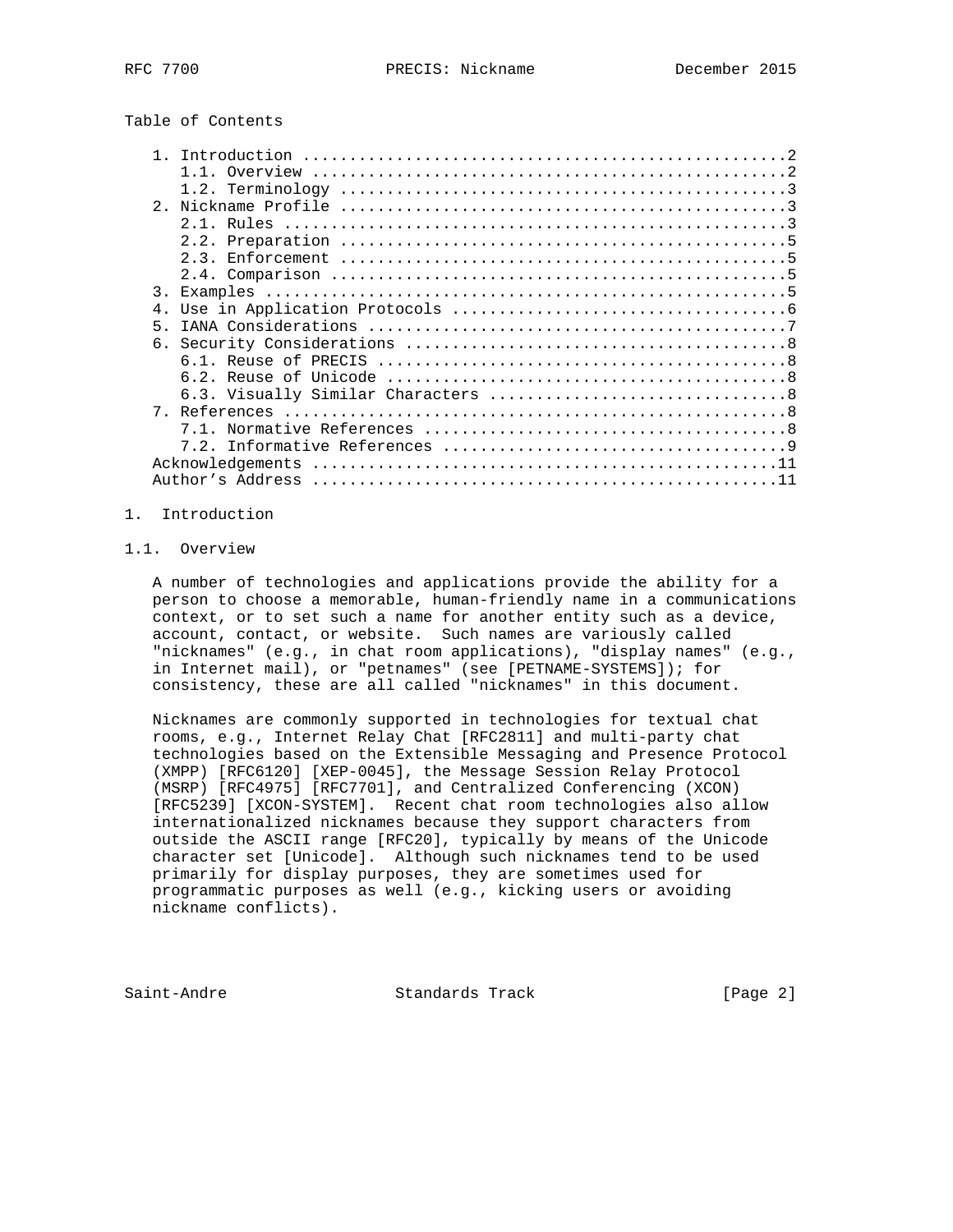Table of Contents

| $2^{\circ}$      |  |
|------------------|--|
|                  |  |
|                  |  |
|                  |  |
|                  |  |
| $\overline{3}$ . |  |
| 4.               |  |
| 5                |  |
|                  |  |
|                  |  |
|                  |  |
|                  |  |
|                  |  |
|                  |  |
|                  |  |
|                  |  |
| Acknowledgements |  |
|                  |  |

### 1. Introduction

## 1.1. Overview

 A number of technologies and applications provide the ability for a person to choose a memorable, human-friendly name in a communications context, or to set such a name for another entity such as a device, account, contact, or website. Such names are variously called "nicknames" (e.g., in chat room applications), "display names" (e.g., in Internet mail), or "petnames" (see [PETNAME-SYSTEMS]); for consistency, these are all called "nicknames" in this document.

 Nicknames are commonly supported in technologies for textual chat rooms, e.g., Internet Relay Chat [RFC2811] and multi-party chat technologies based on the Extensible Messaging and Presence Protocol (XMPP) [RFC6120] [XEP-0045], the Message Session Relay Protocol (MSRP) [RFC4975] [RFC7701], and Centralized Conferencing (XCON) [RFC5239] [XCON-SYSTEM]. Recent chat room technologies also allow internationalized nicknames because they support characters from outside the ASCII range [RFC20], typically by means of the Unicode character set [Unicode]. Although such nicknames tend to be used primarily for display purposes, they are sometimes used for programmatic purposes as well (e.g., kicking users or avoiding nickname conflicts).

Saint-Andre Standards Track [Page 2]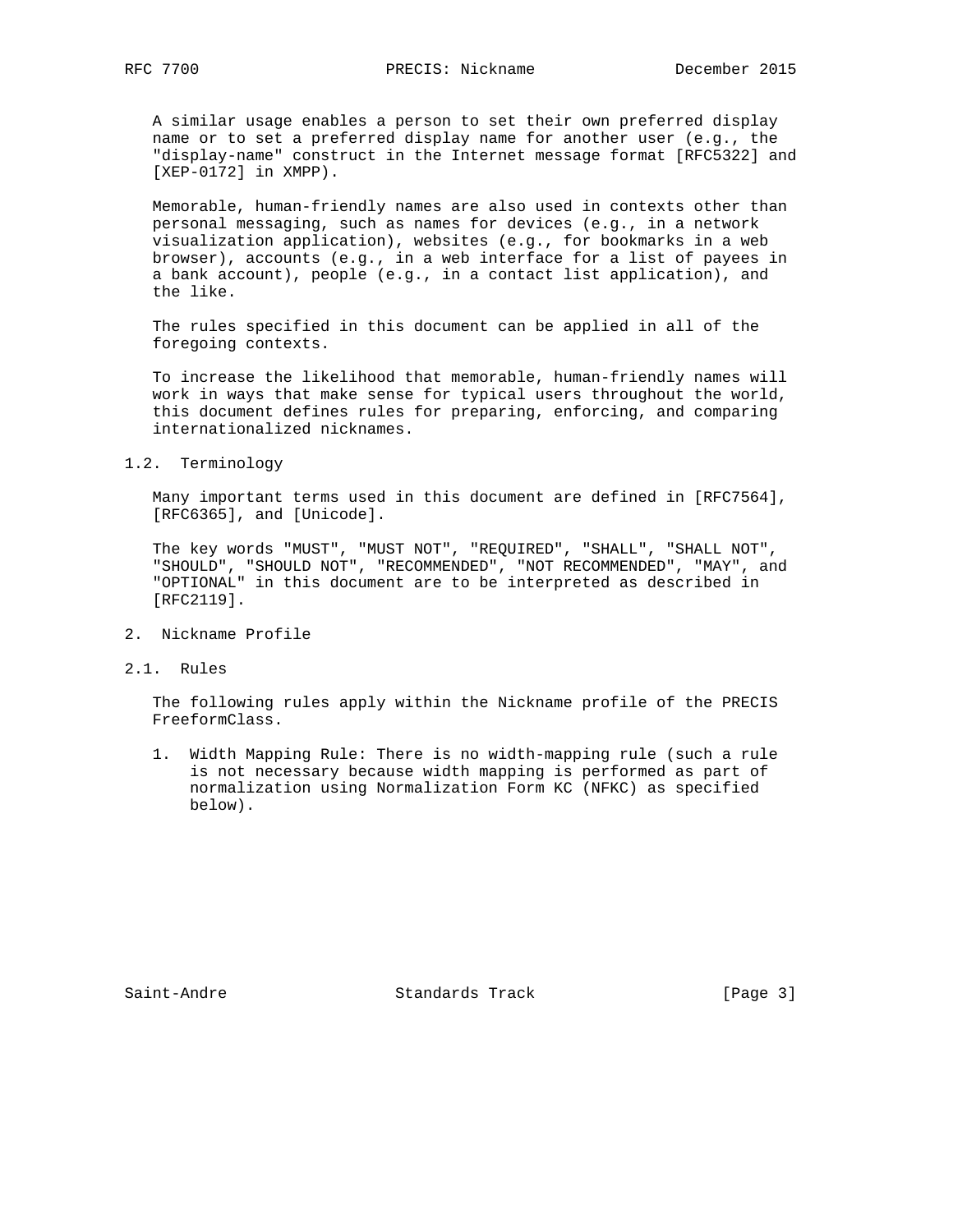A similar usage enables a person to set their own preferred display name or to set a preferred display name for another user (e.g., the "display-name" construct in the Internet message format [RFC5322] and [XEP-0172] in XMPP).

 Memorable, human-friendly names are also used in contexts other than personal messaging, such as names for devices (e.g., in a network visualization application), websites (e.g., for bookmarks in a web browser), accounts (e.g., in a web interface for a list of payees in a bank account), people (e.g., in a contact list application), and the like.

 The rules specified in this document can be applied in all of the foregoing contexts.

 To increase the likelihood that memorable, human-friendly names will work in ways that make sense for typical users throughout the world, this document defines rules for preparing, enforcing, and comparing internationalized nicknames.

## 1.2. Terminology

 Many important terms used in this document are defined in [RFC7564], [RFC6365], and [Unicode].

 The key words "MUST", "MUST NOT", "REQUIRED", "SHALL", "SHALL NOT", "SHOULD", "SHOULD NOT", "RECOMMENDED", "NOT RECOMMENDED", "MAY", and "OPTIONAL" in this document are to be interpreted as described in [RFC2119].

- 2. Nickname Profile
- 2.1. Rules

 The following rules apply within the Nickname profile of the PRECIS FreeformClass.

 1. Width Mapping Rule: There is no width-mapping rule (such a rule is not necessary because width mapping is performed as part of normalization using Normalization Form KC (NFKC) as specified below).

Saint-Andre Standards Track [Page 3]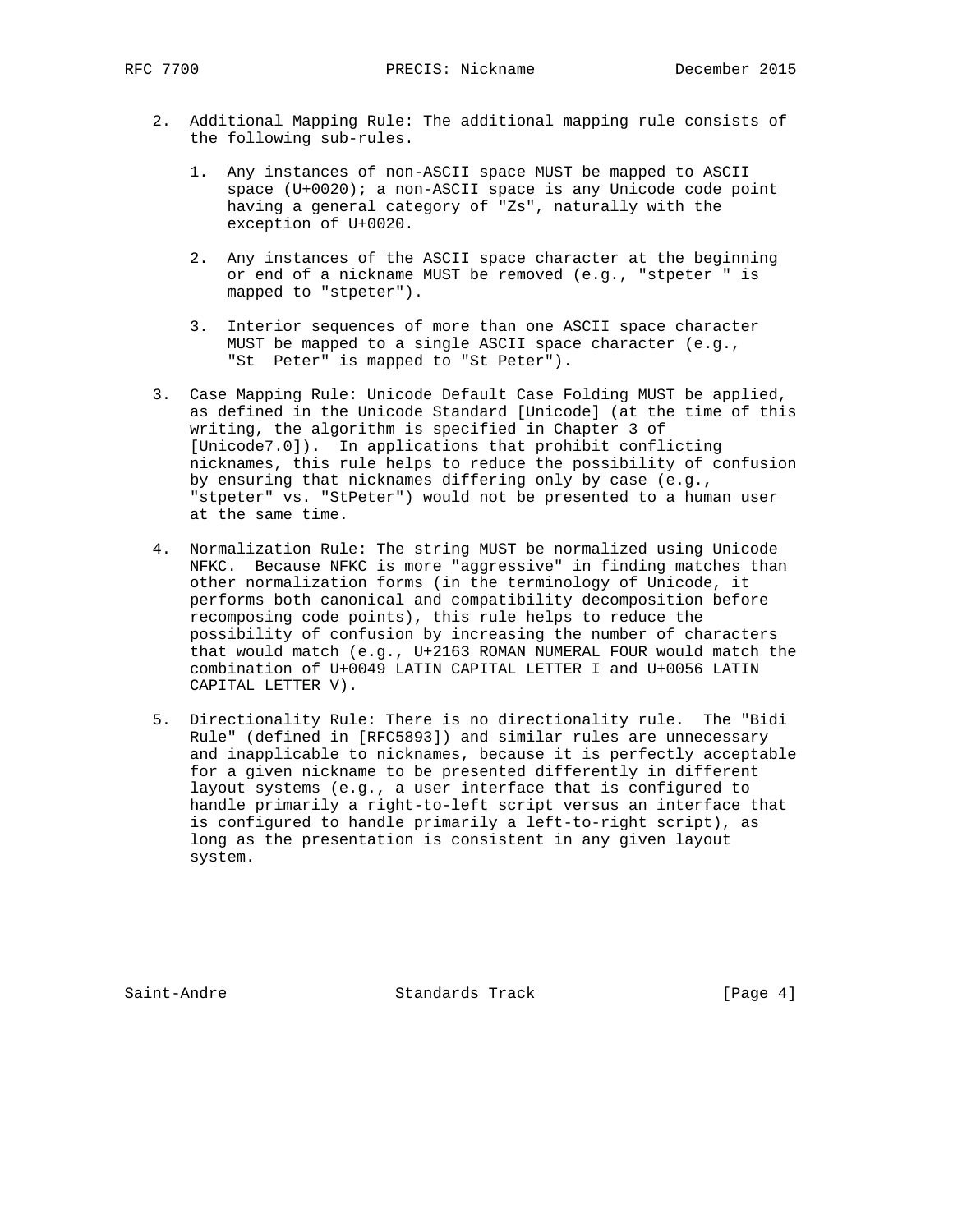- 2. Additional Mapping Rule: The additional mapping rule consists of the following sub-rules.
	- 1. Any instances of non-ASCII space MUST be mapped to ASCII space (U+0020); a non-ASCII space is any Unicode code point having a general category of "Zs", naturally with the exception of U+0020.
	- 2. Any instances of the ASCII space character at the beginning or end of a nickname MUST be removed (e.g., "stpeter " is mapped to "stpeter").
	- 3. Interior sequences of more than one ASCII space character MUST be mapped to a single ASCII space character (e.g., "St Peter" is mapped to "St Peter").
- 3. Case Mapping Rule: Unicode Default Case Folding MUST be applied, as defined in the Unicode Standard [Unicode] (at the time of this writing, the algorithm is specified in Chapter 3 of [Unicode7.0]). In applications that prohibit conflicting nicknames, this rule helps to reduce the possibility of confusion by ensuring that nicknames differing only by case (e.g., "stpeter" vs. "StPeter") would not be presented to a human user at the same time.
- 4. Normalization Rule: The string MUST be normalized using Unicode NFKC. Because NFKC is more "aggressive" in finding matches than other normalization forms (in the terminology of Unicode, it performs both canonical and compatibility decomposition before recomposing code points), this rule helps to reduce the possibility of confusion by increasing the number of characters that would match (e.g., U+2163 ROMAN NUMERAL FOUR would match the combination of U+0049 LATIN CAPITAL LETTER I and U+0056 LATIN CAPITAL LETTER V).
- 5. Directionality Rule: There is no directionality rule. The "Bidi Rule" (defined in [RFC5893]) and similar rules are unnecessary and inapplicable to nicknames, because it is perfectly acceptable for a given nickname to be presented differently in different layout systems (e.g., a user interface that is configured to handle primarily a right-to-left script versus an interface that is configured to handle primarily a left-to-right script), as long as the presentation is consistent in any given layout system.

Saint-Andre Standards Track [Page 4]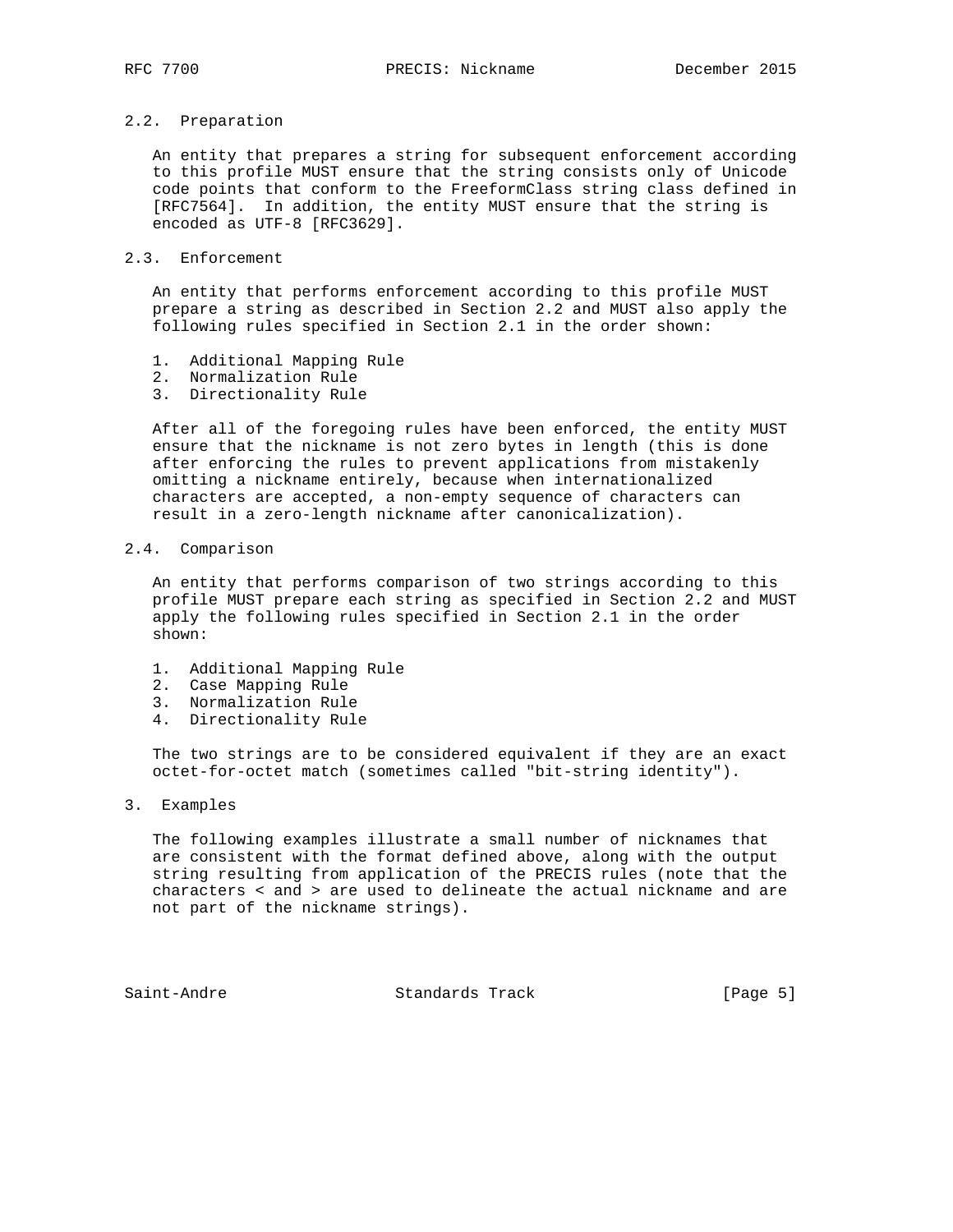# 2.2. Preparation

 An entity that prepares a string for subsequent enforcement according to this profile MUST ensure that the string consists only of Unicode code points that conform to the FreeformClass string class defined in [RFC7564]. In addition, the entity MUST ensure that the string is encoded as UTF-8 [RFC3629].

## 2.3. Enforcement

 An entity that performs enforcement according to this profile MUST prepare a string as described in Section 2.2 and MUST also apply the following rules specified in Section 2.1 in the order shown:

- 1. Additional Mapping Rule
- 2. Normalization Rule
- 3. Directionality Rule

 After all of the foregoing rules have been enforced, the entity MUST ensure that the nickname is not zero bytes in length (this is done after enforcing the rules to prevent applications from mistakenly omitting a nickname entirely, because when internationalized characters are accepted, a non-empty sequence of characters can result in a zero-length nickname after canonicalization).

### 2.4. Comparison

 An entity that performs comparison of two strings according to this profile MUST prepare each string as specified in Section 2.2 and MUST apply the following rules specified in Section 2.1 in the order shown:

- 1. Additional Mapping Rule
- 2. Case Mapping Rule
- 3. Normalization Rule
- 4. Directionality Rule

 The two strings are to be considered equivalent if they are an exact octet-for-octet match (sometimes called "bit-string identity").

3. Examples

 The following examples illustrate a small number of nicknames that are consistent with the format defined above, along with the output string resulting from application of the PRECIS rules (note that the characters < and > are used to delineate the actual nickname and are not part of the nickname strings).

Saint-Andre Standards Track [Page 5]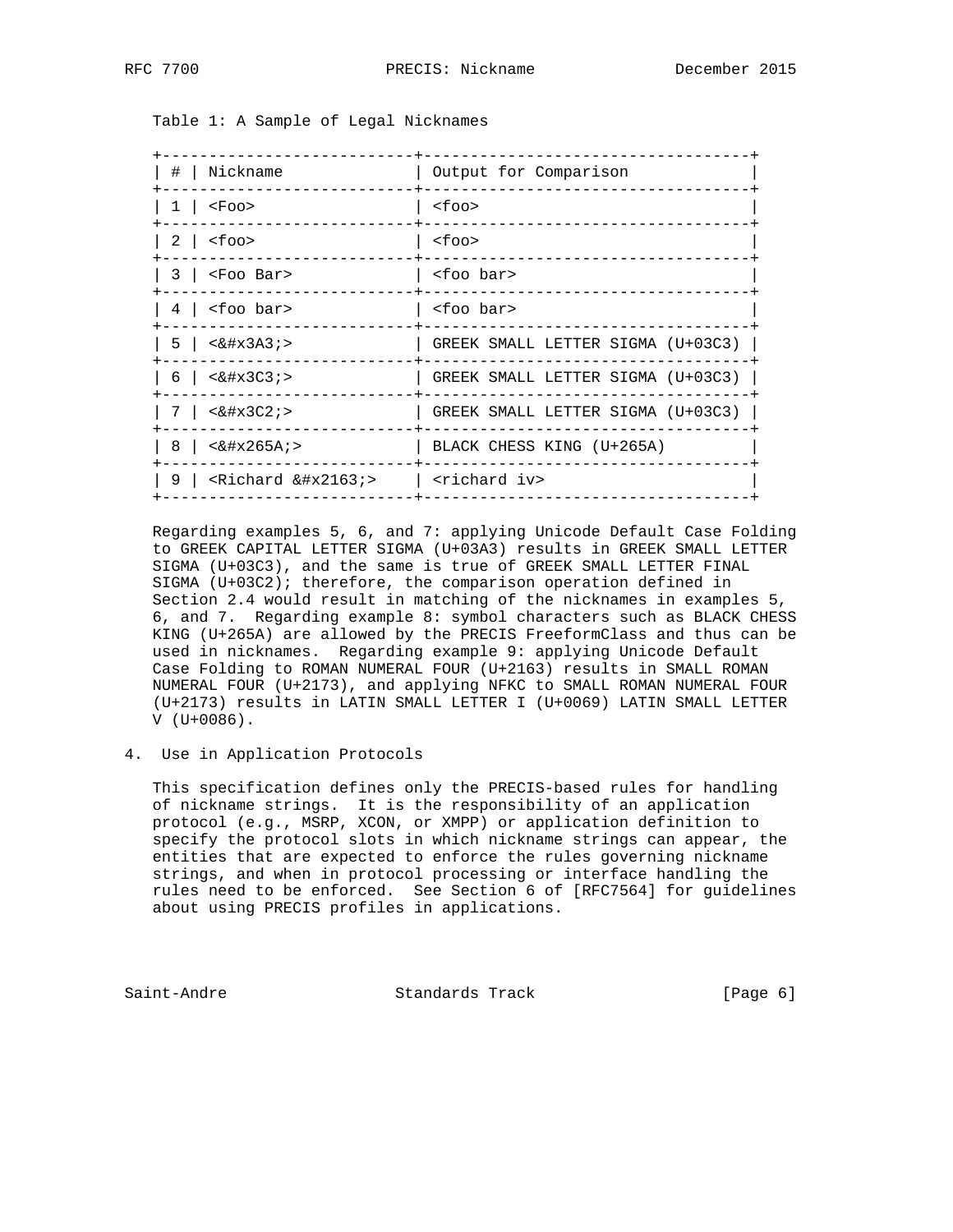Table 1: A Sample of Legal Nicknames

| #   Nickname                                       | Output for Comparison             |
|----------------------------------------------------|-----------------------------------|
| $1 \mid$ <foo></foo>                               | $<$ foo $>$                       |
| $2 \mid$ <foo></foo>                               | $<$ foo $>$                       |
| $3 \mid$ <foo bar=""></foo>                        | <foo bar=""></foo>                |
| $4 \mid$ <foo bar=""></foo>                        | <foo bar=""></foo>                |
| $5 \mid \langle \& \# \times 3A3 \rangle$          | GREEK SMALL LETTER SIGMA (U+03C3) |
| $6 \mid \langle \& \# x 3 C 3 \rangle$             | GREEK SMALL LETTER SIGMA (U+03C3) |
| $7 \mid \langle \& \# x 3C2 \rangle$               | GREEK SMALL LETTER SIGMA (U+03C3) |
| $8 \mid \langle \& \# x 265A \rangle$              | BLACK CHESS KING (U+265A)         |
| 9   <richard <math="">\&amp;\#x2163;&gt;</richard> | <richard iv=""></richard>         |
|                                                    |                                   |

 Regarding examples 5, 6, and 7: applying Unicode Default Case Folding to GREEK CAPITAL LETTER SIGMA (U+03A3) results in GREEK SMALL LETTER SIGMA (U+03C3), and the same is true of GREEK SMALL LETTER FINAL SIGMA (U+03C2); therefore, the comparison operation defined in Section 2.4 would result in matching of the nicknames in examples 5, 6, and 7. Regarding example 8: symbol characters such as BLACK CHESS KING (U+265A) are allowed by the PRECIS FreeformClass and thus can be used in nicknames. Regarding example 9: applying Unicode Default Case Folding to ROMAN NUMERAL FOUR (U+2163) results in SMALL ROMAN NUMERAL FOUR (U+2173), and applying NFKC to SMALL ROMAN NUMERAL FOUR (U+2173) results in LATIN SMALL LETTER I (U+0069) LATIN SMALL LETTER V (U+0086).

4. Use in Application Protocols

 This specification defines only the PRECIS-based rules for handling of nickname strings. It is the responsibility of an application protocol (e.g., MSRP, XCON, or XMPP) or application definition to specify the protocol slots in which nickname strings can appear, the entities that are expected to enforce the rules governing nickname strings, and when in protocol processing or interface handling the rules need to be enforced. See Section 6 of [RFC7564] for guidelines about using PRECIS profiles in applications.

Saint-Andre Standards Track [Page 6]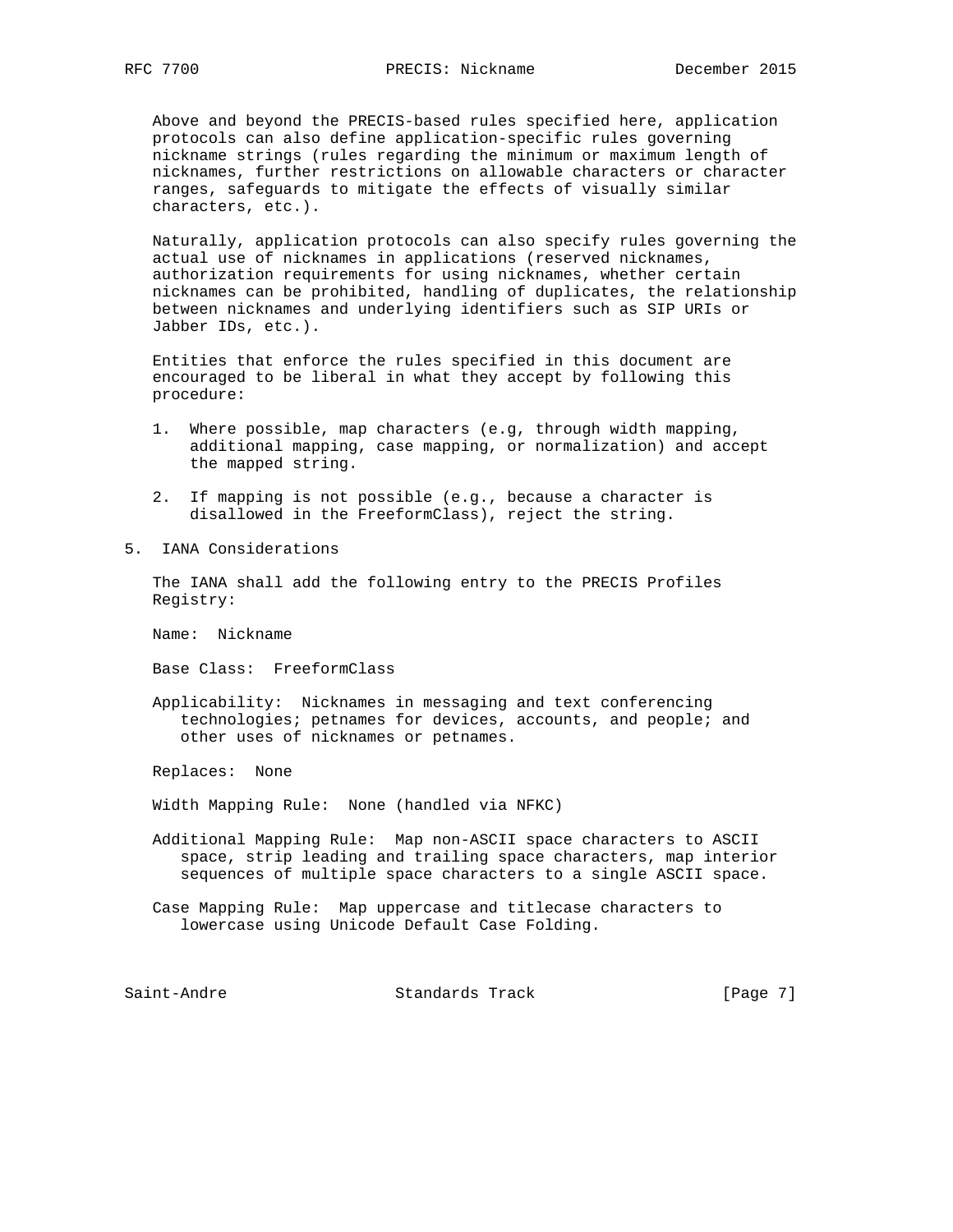Above and beyond the PRECIS-based rules specified here, application protocols can also define application-specific rules governing nickname strings (rules regarding the minimum or maximum length of nicknames, further restrictions on allowable characters or character ranges, safeguards to mitigate the effects of visually similar characters, etc.).

 Naturally, application protocols can also specify rules governing the actual use of nicknames in applications (reserved nicknames, authorization requirements for using nicknames, whether certain nicknames can be prohibited, handling of duplicates, the relationship between nicknames and underlying identifiers such as SIP URIs or Jabber IDs, etc.).

 Entities that enforce the rules specified in this document are encouraged to be liberal in what they accept by following this procedure:

- 1. Where possible, map characters (e.g, through width mapping, additional mapping, case mapping, or normalization) and accept the mapped string.
- 2. If mapping is not possible (e.g., because a character is disallowed in the FreeformClass), reject the string.
- 5. IANA Considerations

 The IANA shall add the following entry to the PRECIS Profiles Registry:

Name: Nickname

Base Class: FreeformClass

 Applicability: Nicknames in messaging and text conferencing technologies; petnames for devices, accounts, and people; and other uses of nicknames or petnames.

Replaces: None

Width Mapping Rule: None (handled via NFKC)

- Additional Mapping Rule: Map non-ASCII space characters to ASCII space, strip leading and trailing space characters, map interior sequences of multiple space characters to a single ASCII space.
- Case Mapping Rule: Map uppercase and titlecase characters to lowercase using Unicode Default Case Folding.

Saint-Andre Standards Track [Page 7]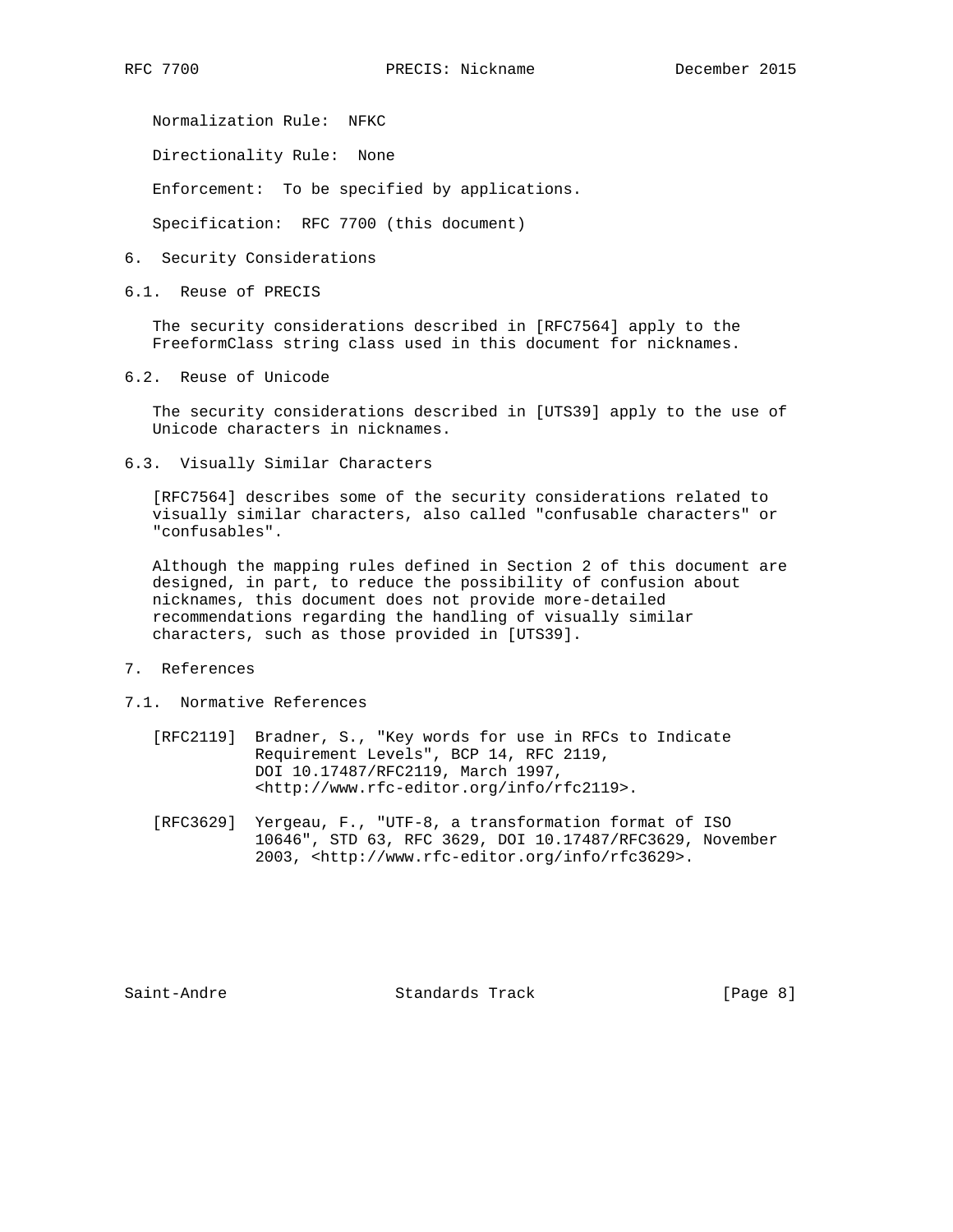Normalization Rule: NFKC

Directionality Rule: None

Enforcement: To be specified by applications.

Specification: RFC 7700 (this document)

- 6. Security Considerations
- 6.1. Reuse of PRECIS

 The security considerations described in [RFC7564] apply to the FreeformClass string class used in this document for nicknames.

6.2. Reuse of Unicode

 The security considerations described in [UTS39] apply to the use of Unicode characters in nicknames.

6.3. Visually Similar Characters

 [RFC7564] describes some of the security considerations related to visually similar characters, also called "confusable characters" or "confusables".

 Although the mapping rules defined in Section 2 of this document are designed, in part, to reduce the possibility of confusion about nicknames, this document does not provide more-detailed recommendations regarding the handling of visually similar characters, such as those provided in [UTS39].

- 7. References
- 7.1. Normative References
	- [RFC2119] Bradner, S., "Key words for use in RFCs to Indicate Requirement Levels", BCP 14, RFC 2119, DOI 10.17487/RFC2119, March 1997, <http://www.rfc-editor.org/info/rfc2119>.
	- [RFC3629] Yergeau, F., "UTF-8, a transformation format of ISO 10646", STD 63, RFC 3629, DOI 10.17487/RFC3629, November 2003, <http://www.rfc-editor.org/info/rfc3629>.

Saint-Andre Standards Track [Page 8]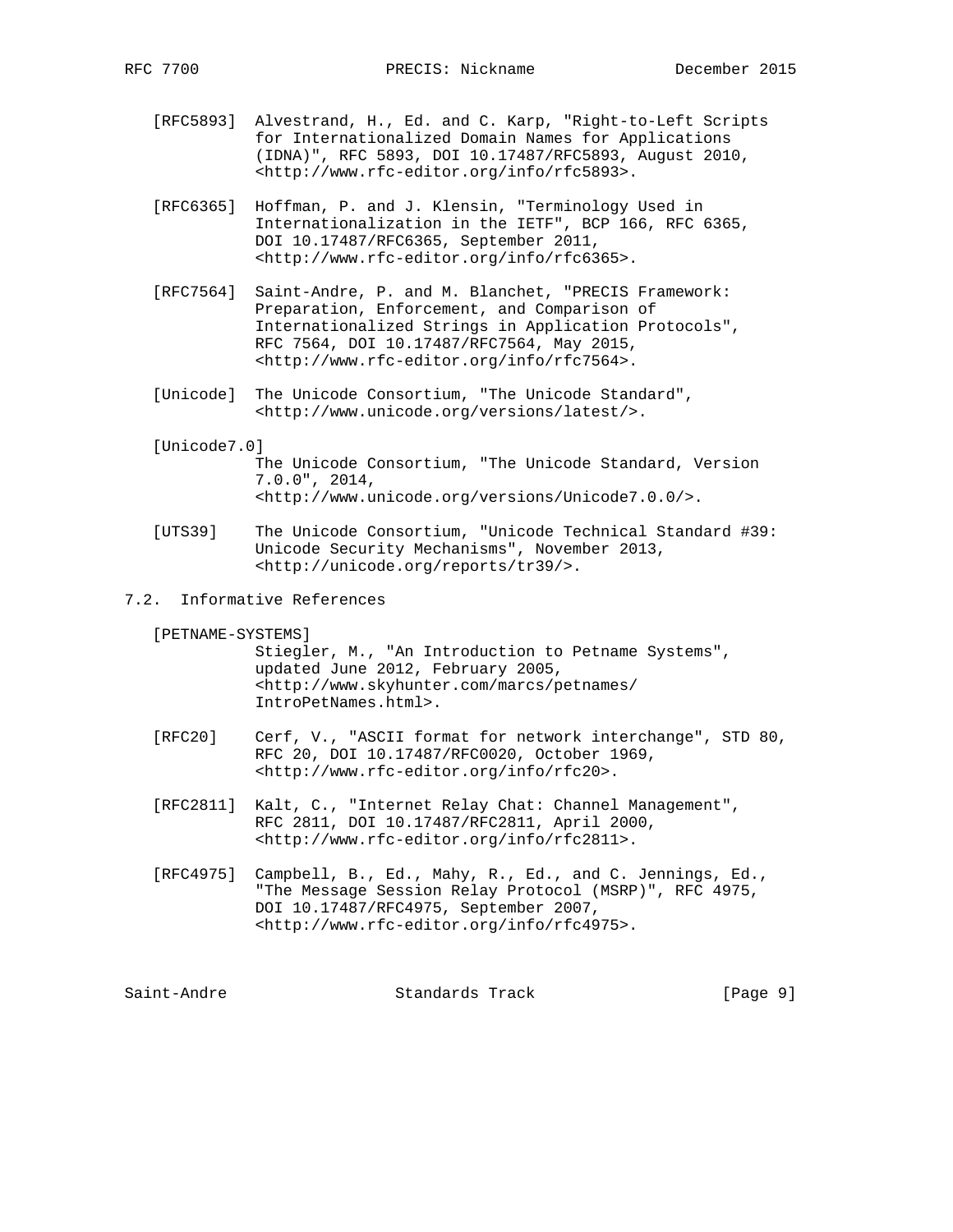- [RFC5893] Alvestrand, H., Ed. and C. Karp, "Right-to-Left Scripts for Internationalized Domain Names for Applications (IDNA)", RFC 5893, DOI 10.17487/RFC5893, August 2010, <http://www.rfc-editor.org/info/rfc5893>.
- [RFC6365] Hoffman, P. and J. Klensin, "Terminology Used in Internationalization in the IETF", BCP 166, RFC 6365, DOI 10.17487/RFC6365, September 2011, <http://www.rfc-editor.org/info/rfc6365>.
- [RFC7564] Saint-Andre, P. and M. Blanchet, "PRECIS Framework: Preparation, Enforcement, and Comparison of Internationalized Strings in Application Protocols", RFC 7564, DOI 10.17487/RFC7564, May 2015, <http://www.rfc-editor.org/info/rfc7564>.
- [Unicode] The Unicode Consortium, "The Unicode Standard", <http://www.unicode.org/versions/latest/>.

### [Unicode7.0]

- The Unicode Consortium, "The Unicode Standard, Version 7.0.0", 2014, <http://www.unicode.org/versions/Unicode7.0.0/>.
- [UTS39] The Unicode Consortium, "Unicode Technical Standard #39: Unicode Security Mechanisms", November 2013, <http://unicode.org/reports/tr39/>.
- 7.2. Informative References

[PETNAME-SYSTEMS]

 Stiegler, M., "An Introduction to Petname Systems", updated June 2012, February 2005, <http://www.skyhunter.com/marcs/petnames/ IntroPetNames.html>.

- [RFC20] Cerf, V., "ASCII format for network interchange", STD 80, RFC 20, DOI 10.17487/RFC0020, October 1969, <http://www.rfc-editor.org/info/rfc20>.
- [RFC2811] Kalt, C., "Internet Relay Chat: Channel Management", RFC 2811, DOI 10.17487/RFC2811, April 2000, <http://www.rfc-editor.org/info/rfc2811>.
- [RFC4975] Campbell, B., Ed., Mahy, R., Ed., and C. Jennings, Ed., "The Message Session Relay Protocol (MSRP)", RFC 4975, DOI 10.17487/RFC4975, September 2007, <http://www.rfc-editor.org/info/rfc4975>.

Saint-Andre Standards Track [Page 9]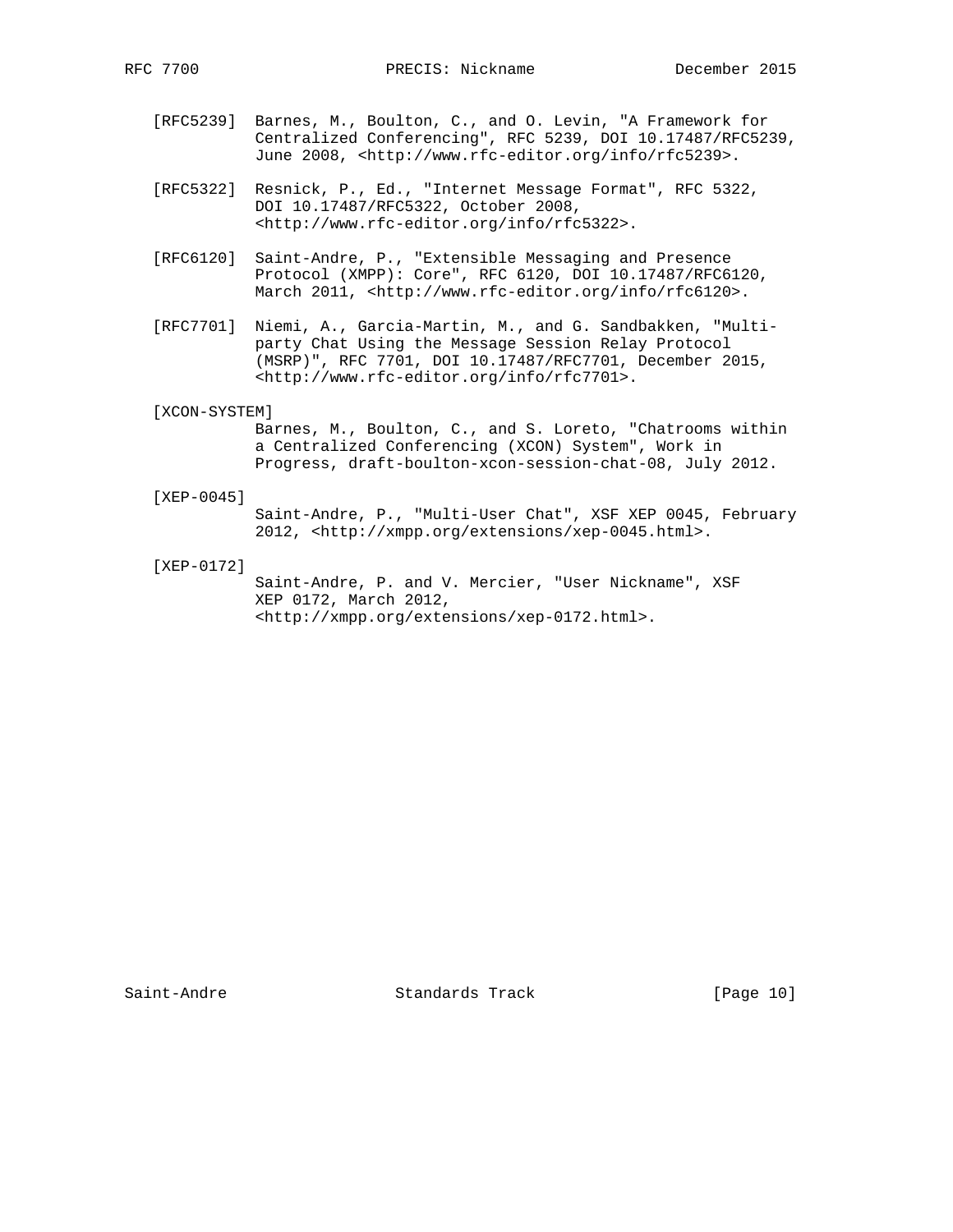- [RFC5239] Barnes, M., Boulton, C., and O. Levin, "A Framework for Centralized Conferencing", RFC 5239, DOI 10.17487/RFC5239, June 2008, <http://www.rfc-editor.org/info/rfc5239>.
- [RFC5322] Resnick, P., Ed., "Internet Message Format", RFC 5322, DOI 10.17487/RFC5322, October 2008, <http://www.rfc-editor.org/info/rfc5322>.
- [RFC6120] Saint-Andre, P., "Extensible Messaging and Presence Protocol (XMPP): Core", RFC 6120, DOI 10.17487/RFC6120, March 2011, <http://www.rfc-editor.org/info/rfc6120>.
- [RFC7701] Niemi, A., Garcia-Martin, M., and G. Sandbakken, "Multi party Chat Using the Message Session Relay Protocol (MSRP)", RFC 7701, DOI 10.17487/RFC7701, December 2015, <http://www.rfc-editor.org/info/rfc7701>.
- [XCON-SYSTEM]

 Barnes, M., Boulton, C., and S. Loreto, "Chatrooms within a Centralized Conferencing (XCON) System", Work in Progress, draft-boulton-xcon-session-chat-08, July 2012.

#### [XEP-0045]

 Saint-Andre, P., "Multi-User Chat", XSF XEP 0045, February 2012, <http://xmpp.org/extensions/xep-0045.html>.

[XEP-0172]

 Saint-Andre, P. and V. Mercier, "User Nickname", XSF XEP 0172, March 2012, <http://xmpp.org/extensions/xep-0172.html>.

Saint-Andre Standards Track [Page 10]